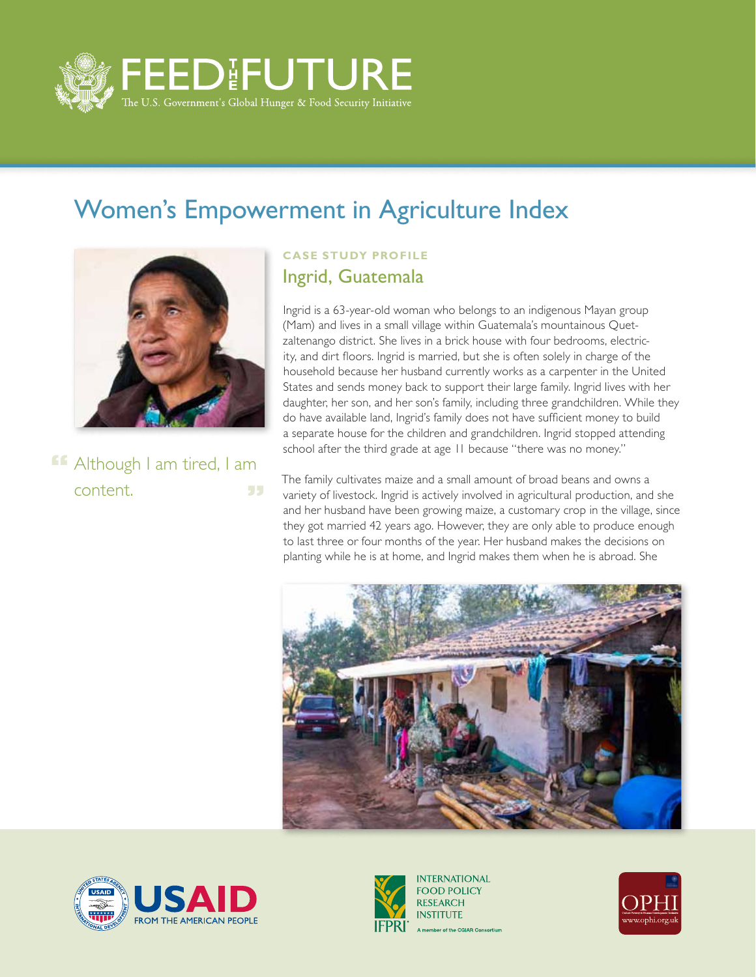

## Women's Empowerment in Agriculture Index



**ff** Although I am tired, I am content. 55

## **CASE STUDY PROFILE** Ingrid, Guatemala

Ingrid is a 63-year-old woman who belongs to an indigenous Mayan group (Mam) and lives in a small village within Guatemala's mountainous Quetzaltenango district. She lives in a brick house with four bedrooms, electricity, and dirt floors. Ingrid is married, but she is often solely in charge of the household because her husband currently works as a carpenter in the United States and sends money back to support their large family. Ingrid lives with her daughter, her son, and her son's family, including three grandchildren. While they do have available land, Ingrid's family does not have sufficient money to build a separate house for the children and grandchildren. Ingrid stopped attending school after the third grade at age 11 because "there was no money."

The family cultivates maize and a small amount of broad beans and owns a variety of livestock. Ingrid is actively involved in agricultural production, and she and her husband have been growing maize, a customary crop in the village, since they got married 42 years ago. However, they are only able to produce enough to last three or four months of the year. Her husband makes the decisions on planting while he is at home, and Ingrid makes them when he is abroad. She







**INTERNATIONAL FOOD POLICY RESEARCH INSTITUTE** A member of the CGIAR Consortium